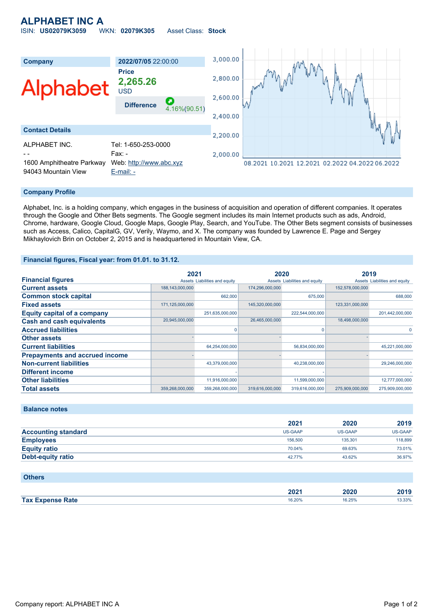# **ALPHABET INC A** ISIN: **US02079K3059** WKN: **02079K305** Asset Class: **Stock**



### **Company Profile**

Alphabet, Inc. is a holding company, which engages in the business of acquisition and operation of different companies. It operates through the Google and Other Bets segments. The Google segment includes its main Internet products such as ads, Android, Chrome, hardware, Google Cloud, Google Maps, Google Play, Search, and YouTube. The Other Bets segment consists of businesses such as Access, Calico, CapitalG, GV, Verily, Waymo, and X. The company was founded by Lawrence E. Page and Sergey Mikhaylovich Brin on October 2, 2015 and is headquartered in Mountain View, CA.

### **Financial figures, Fiscal year: from 01.01. to 31.12.**

|                                       | 2021            |                               | 2020            |                               | 2019            |                               |
|---------------------------------------|-----------------|-------------------------------|-----------------|-------------------------------|-----------------|-------------------------------|
| <b>Financial figures</b>              |                 | Assets Liabilities and equity |                 | Assets Liabilities and equity |                 | Assets Liabilities and equity |
| <b>Current assets</b>                 | 188,143,000,000 |                               | 174,296,000,000 |                               | 152,578,000,000 |                               |
| <b>Common stock capital</b>           |                 | 662,000                       |                 | 675,000                       |                 | 688,000                       |
| <b>Fixed assets</b>                   | 171,125,000,000 |                               | 145,320,000,000 |                               | 123,331,000,000 |                               |
| <b>Equity capital of a company</b>    |                 | 251,635,000,000               |                 | 222,544,000,000               |                 | 201,442,000,000               |
| <b>Cash and cash equivalents</b>      | 20,945,000,000  |                               | 26,465,000,000  |                               | 18,498,000,000  |                               |
| <b>Accrued liabilities</b>            |                 |                               |                 | O                             |                 | $\Omega$                      |
| <b>Other assets</b>                   |                 |                               |                 |                               |                 |                               |
| <b>Current liabilities</b>            |                 | 64,254,000,000                |                 | 56,834,000,000                |                 | 45,221,000,000                |
| <b>Prepayments and accrued income</b> |                 |                               |                 |                               |                 |                               |
| <b>Non-current liabilities</b>        |                 | 43,379,000,000                |                 | 40,238,000,000                |                 | 29,246,000,000                |
| <b>Different income</b>               |                 |                               |                 |                               |                 |                               |
| <b>Other liabilities</b>              |                 | 11,916,000,000                |                 | 11,599,000,000                |                 | 12,777,000,000                |
| <b>Total assets</b>                   | 359,268,000,000 | 359,268,000,000               | 319,616,000,000 | 319,616,000,000               | 275,909,000,000 | 275,909,000,000               |

## **Balance notes**

|                            | 2021    | 2020    | 2019    |
|----------------------------|---------|---------|---------|
| <b>Accounting standard</b> | US-GAAP | US-GAAP | US-GAAP |
| <b>Employees</b>           | 156,500 | 135.301 | 118,899 |
| <b>Equity ratio</b>        | 70.04%  | 69.63%  | 73.01%  |
| <b>Debt-equity ratio</b>   | 42.77%  | 43.62%  | 36.97%  |

#### **Others**

|                                     | יממ<br>ZUZ | 2020   | $\sim$          |
|-------------------------------------|------------|--------|-----------------|
| <b>Tax</b><br>Rate<br><b>Thanse</b> | 16.20%     | 16.25% | 330%<br>J.JJ /1 |